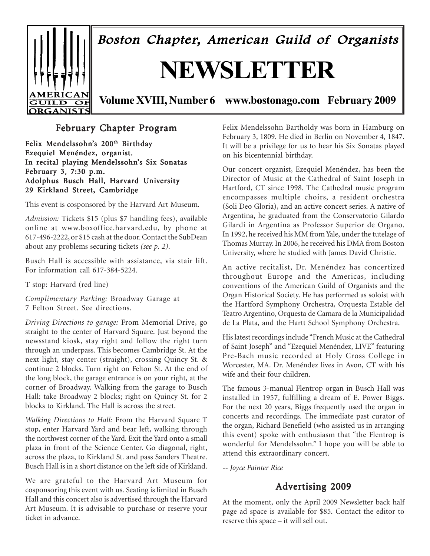

Boston Chapter, American Guild of Organists

# **NEWSLETTER**

**Volume XVIII, Number 6 www.bostonago.com February 2009**

## February Chapter Program

Felix Mendelssohn's 200<sup>th</sup> Birthday Ezequiel Menéndez, organist. In recital playing Mendelssohn's Six Sonatas February 3, 7:30 p.m. Adolphus Busch Hall, Harvard University 29 Kirkland Street, Cambridge

This event is cosponsored by the Harvard Art Museum.

*Admission:* Tickets \$15 (plus \$7 handling fees), available online at www.boxoffice.harvard.edu, by phone at 617-496-2222, or \$15 cash at the door. Contact the SubDean about any problems securing tickets *(see p. 2)*.

Busch Hall is accessible with assistance, via stair lift. For information call 617-384-5224.

T stop: Harvard (red line)

*Complimentary Parking:* Broadway Garage at 7 Felton Street. See directions.

*Driving Directions to garage:* From Memorial Drive, go straight to the center of Harvard Square. Just beyond the newsstand kiosk, stay right and follow the right turn through an underpass. This becomes Cambridge St. At the next light, stay center (straight), crossing Quincy St. & continue 2 blocks. Turn right on Felton St. At the end of the long block, the garage entrance is on your right, at the corner of Broadway. Walking from the garage to Busch Hall: take Broadway 2 blocks; right on Quincy St. for 2 blocks to Kirkland. The Hall is across the street.

*Walking Directions to Hall:* From the Harvard Square T stop, enter Harvard Yard and bear left, walking through the northwest corner of the Yard. Exit the Yard onto a small plaza in front of the Science Center. Go diagonal, right, across the plaza, to Kirkland St. and pass Sanders Theatre. Busch Hall is in a short distance on the left side of Kirkland.

We are grateful to the Harvard Art Museum for cosponsoring this event with us. Seating is limited in Busch Hall and this concert also is advertised through the Harvard Art Museum. It is advisable to purchase or reserve your ticket in advance.

Felix Mendelssohn Bartholdy was born in Hamburg on February 3, 1809. He died in Berlin on November 4, 1847. It will be a privilege for us to hear his Six Sonatas played on his bicentennial birthday.

Our concert organist, Ezequiel Menéndez, has been the Director of Music at the Cathedral of Saint Joseph in Hartford, CT since 1998. The Cathedral music program encompasses multiple choirs, a resident orchestra (Soli Deo Gloria), and an active concert series. A native of Argentina, he graduated from the Conservatorio Gilardo Gilardi in Argentina as Professor Superior de Organo. In 1992, he received his MM from Yale, under the tutelage of Thomas Murray. In 2006, he received his DMA from Boston University, where he studied with James David Christie.

An active recitalist, Dr. Menéndez has concertized throughout Europe and the Americas, including conventions of the American Guild of Organists and the Organ Historical Society. He has performed as soloist with the Hartford Symphony Orchestra, Orquesta Estable del Teatro Argentino, Orquesta de Camara de la Municipalidad de La Plata, and the Hartt School Symphony Orchestra.

His latest recordings include "French Music at the Cathedral of Saint Joseph" and "Ezequiel Menéndez, LIVE" featuring Pre-Bach music recorded at Holy Cross College in Worcester, MA. Dr. Menéndez lives in Avon, CT with his wife and their four children.

The famous 3-manual Flentrop organ in Busch Hall was installed in 1957, fulfilling a dream of E. Power Biggs. For the next 20 years, Biggs frequently used the organ in concerts and recordings. The immediate past curator of the organ, Richard Benefield (who assisted us in arranging this event) spoke with enthusiasm that "the Flentrop is wonderful for Mendelssohn." I hope you will be able to attend this extraordinary concert.

-- *Joyce Painter Rice*

## Advertising 2009

At the moment, only the April 2009 Newsletter back half page ad space is available for \$85. Contact the editor to reserve this space – it will sell out.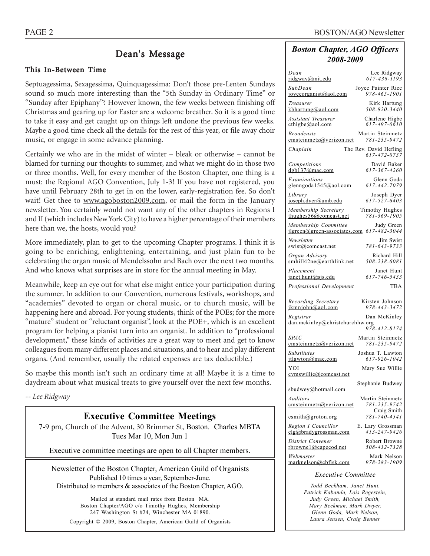## Dean's Message

#### This In-Between Time

Septuagessima, Sexagessima, Quinquagessima: Don't those pre-Lenten Sundays sound so much more interesting than the "5th Sunday in Ordinary Time" or "Sunday after Epiphany"? However known, the few weeks between finishing off Christmas and gearing up for Easter are a welcome breather. So it is a good time to take it easy and get caught up on things left undone the previous few weeks. Maybe a good time check all the details for the rest of this year, or file away choir music, or engage in some advance planning.

Certainly we who are in the midst of winter – bleak or otherwise – cannot be blamed for turning our thoughts to summer, and what we might do in those two or three months. Well, for every member of the Boston Chapter, one thing is a must: the Regional AGO Convention, July 1-3! If you have not registered, you have until February 28th to get in on the lower, early-registration fee. So don't wait! Get thee to www.agoboston2009.com, or mail the form in the January newsletter. You certainly would not want any of the other chapters in Regions I and II (which includes New York City) to have a higher percentage of their members here than we, the hosts, would you?

More immediately, plan to get to the upcoming Chapter programs. I think it is going to be enriching, enlightening, entertaining, and just plain fun to be celebrating the organ music of Mendelssohn and Bach over the next two months. And who knows what surprises are in store for the annual meeting in May.

Meanwhile, keep an eye out for what else might entice your participation during the summer. In addition to our Convention, numerous festivals, workshops, and "academies" devoted to organ or choral music, or to church music, will be happening here and abroad. For young students, think of the POEs; for the more "mature" student or "reluctant organist", look at the POE+, which is an excellent program for helping a pianist turn into an organist. In addition to "professional development," these kinds of activities are a great way to meet and get to know colleagues from many different places and situations, and to hear and play different organs. (And remember, usually the related expenses are tax deductible.)

So maybe this month isn't such an ordinary time at all! Maybe it is a time to daydream about what musical treats to give yourself over the next few months.

*-- Lee Ridgway*

#### **Executive Committee Meetings**

7-9 pm, Church of the Advent, 30 Brimmer St, Boston. Charles MBTA Tues Mar 10, Mon Jun 1

Executive committee meetings are open to all Chapter members.

Newsletter of the Boston Chapter, American Guild of Organists Published 10 times a year, September-June. Distributed to members & associates of the Boston Chapter, AGO.

Mailed at standard mail rates from Boston MA. Boston Chapter/AGO c/o Timothy Hughes, Membership 247 Washington St #24, Winchester MA 01890. Copyright © 2009, Boston Chapter, American Guild of Organists

#### *Boston Chapter, AGO Officers 2008-2009*

| Dean                                         | Lee Ridgway                                  |
|----------------------------------------------|----------------------------------------------|
| ridgway@mit.edu                              | 617-436-1193                                 |
| SubDean                                      | Joyce Painter Rice                           |
| joyceorganist@aol.com                        | 978-465-1901                                 |
| Treasurer                                    | Kirk Hartung                                 |
| kbhartung@aol.com                            | $508 - 820 - 3440$                           |
| <b>Assistant Treasurer</b>                   | Charlene Higbe                               |
| cthigbe@aol.com                              | 617-497-0610                                 |
| <b>Broadcasts</b>                            | Martin Steinmetz                             |
| emsteinmetz@verizon.net                      | 781-235-9472                                 |
| Chaplain                                     | The Rev. David Hefling<br>$617 - 472 - 0737$ |
| Competitions                                 | David Baker                                  |
| dgb137@mac.com                               | 617-367-4260                                 |
| Examinations                                 | Glenn Goda                                   |
| glenngoda1545@aol.com                        | 617-442-7079                                 |
| Library                                      | Joseph Dyer                                  |
| joseph.dyer@umb.edu                          | 617-527-6403                                 |
| Membership Secretary                         | Timothy Hughes                               |
| thughes $56$ @comcast.net                    | 781-369-1905                                 |
| Membership Committee                         | Judy Green                                   |
| ilgreen@green-associates.com                 | $617 - 482 - 3044$                           |
| Newsletter                                   | Jim Swist                                    |
| swist@comcast.net                            | 781-643-9733                                 |
| Organ Advisory                               | Richard Hill                                 |
| smhill42ne@earthlink.net                     | 508-238-6081                                 |
| Placement                                    | Janet Hunt                                   |
| janet.hunt@sjs.edu                           | 617-746-5433                                 |
| Professional Development                     | <b>TBA</b>                                   |
| Recording Secretary                          | Kirsten Johnson                              |
| ikmniohn@aol.com                             | 978-443-3472                                 |
| Registrar<br>dan.mckinley@christchurchhw.org | Dan McKinley                                 |
| <b>SPAC</b>                                  | 978-412-8174<br>Martin Steinmetz             |
| emsteinmetz@verizon.net                      | 781-235-9472                                 |
| <b>Substitutes</b>                           | Joshua T. Lawton                             |
| itlawton@mac.com                             | 617-926-1042                                 |
| YOI<br>cymswillie@comcast.net                | Mary Sue Willie                              |
| sbudwey@hotmail.com                          | Stephanie Budwey                             |
| Auditors                                     | Martin Steinmetz                             |
| cmsteinmetz@verizon.net                      | 781-235-9742                                 |
| csmith@groton.org                            | Craig Smith<br>781-740-4541                  |
| Region I Councillor                          | E. Lary Grossman                             |
| elg@bradvgrossman.com                        | $413 - 247 - 9426$                           |
| District Convener                            | Robert Browne                                |
| rbrownel@capecod.net                         | 508-432-7328                                 |
| Webmaster                                    | Mark Nelson                                  |
| marknelson@cbfisk.com                        | 978-283-1909                                 |
|                                              |                                              |

#### *Executive Committee*

*Todd Beckham, Janet Hunt, Patrick Kabanda, Lois Regestein, Judy Green, Michael Smith, Mary Beekman, Mark Dwyer, Glenn Goda, Mark Nelson, Laura Jensen, Craig Benner*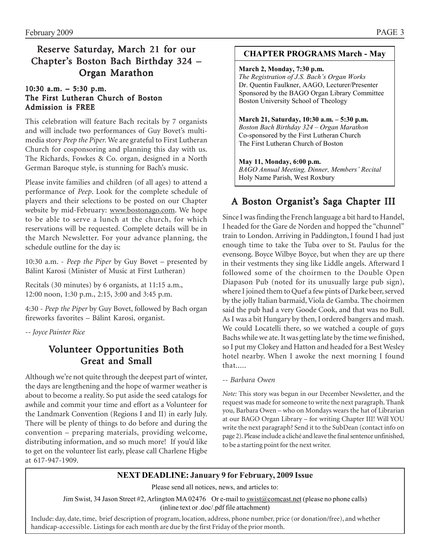## Reserve Saturday, March 21 for our Chapter's Boston Bach Birthday 324 – Organ Marathon

#### 10:30 a.m.  $-5:30$  p.m. The First Lutheran Church of Boston Admission is FREE

This celebration will feature Bach recitals by 7 organists and will include two performances of Guy Bovet's multimedia story *Peep the Piper.* We are grateful to First Lutheran Church for cosponsoring and planning this day with us. The Richards, Fowkes & Co. organ, designed in a North German Baroque style, is stunning for Bach's music.

Please invite families and children (of all ages) to attend a performance of *Peep*. Look for the complete schedule of players and their selections to be posted on our Chapter website by mid-February: www.bostonago.com. We hope to be able to serve a lunch at the church, for which reservations will be requested. Complete details will be in the March Newsletter. For your advance planning, the schedule outline for the day is:

10:30 a.m. - *Peep the Piper* by Guy Bovet – presented by Bálint Karosi (Minister of Music at First Lutheran)

Recitals (30 minutes) by 6 organists, at 11:15 a.m., 12:00 noon, 1:30 p.m., 2:15, 3:00 and 3:45 p.m.

4:30 - *Peep the Piper* by Guy Bovet, followed by Bach organ fireworks favorites – Bálint Karosi, organist.

*-- Joyce Painter Rice*

## Volunteer Opportunities Both Great and Small

Although we're not quite through the deepest part of winter, the days are lengthening and the hope of warmer weather is about to become a reality. So put aside the seed catalogs for awhile and commit your time and effort as a Volunteer for the Landmark Convention (Regions I and II) in early July. There will be plenty of things to do before and during the convention – preparing materials, providing welcome, distributing information, and so much more! If you'd like to get on the volunteer list early, please call Charlene Higbe at 617-947-1909.

#### **CHAPTER PROGRAMS March - May**

#### **March 2, Monday, 7:30 p.m.**

*The Registration of J.S. Bach's Organ Works*  Dr. Quentin Faulkner, AAGO, Lecturer/Presenter Sponsored by the BAGO Organ Library Committee Boston University School of Theology

**March 21, Saturday, 10:30 a.m. – 5:30 p.m.**  *Boston Bach Birthday 324 – Organ Marathon*  Co-sponsored by the First Lutheran Church The First Lutheran Church of Boston

#### **May 11, Monday, 6:00 p.m.**

*BAGO Annual Meeting, Dinner, Members' Recital*  Holy Name Parish, West Roxbury

## A Boston Organist's Saga Chapter III

Since I was finding the French language a bit hard to Handel, I headed for the Gare de Norden and hopped the "chunnel" train to London. Arriving in Paddington, I found I had just enough time to take the Tuba over to St. Paulus for the evensong. Boyce Wilbye Boyce, but when they are up there in their vestments they sing like Liddle angels. Afterward I followed some of the choirmen to the Double Open Diapason Pub (noted for its unusually large pub sign), where I joined them to Quef a few pints of Darke beer, served by the jolly Italian barmaid, Viola de Gamba. The choirmen said the pub had a very Goode Cook, and that was no Bull. As I was a bit Hungary by then, I ordered bangers and mash. We could Locatelli there, so we watched a couple of guys Bachs while we ate. It was getting late by the time we finished, so I put my Clokey and Hatton and headed for a Best Wesley hotel nearby. When I awoke the next morning I found that.....

#### -- *Barbara Owen*

*Note:* This story was begun in our December Newsletter, and the request was made for someone to write the next paragraph. Thank you, Barbara Owen – who on Mondays wears the hat of Librarian at our BAGO Organ Library – for writing Chapter III! Will YOU write the next paragraph? Send it to the SubDean (contact info on page 2). Please include a cliché and leave the final sentence unfinished, to be a starting point for the next writer.

#### **NEXT DEADLINE: January 9 for February, 2009 Issue**

Please send all notices, news, and articles to:

Jim Swist, 34 Jason Street #2, Arlington MA 02476 Or e-mail to swist@comcast.net (please no phone calls) (inline text or .doc/.pdf file attachment)

Include: day, date, time, brief description of program, location, address, phone number, price (or donation/free), and whether handicap-accessible. Listings for each month are due by the first Friday of the prior month.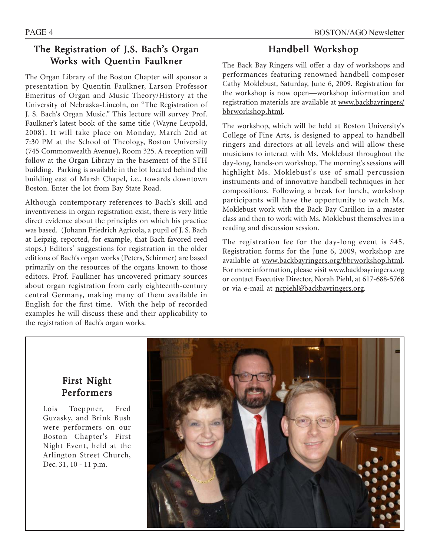## The Registration of J.S. Bach's Organ Works with Quentin Faulkner

The Organ Library of the Boston Chapter will sponsor a presentation by Quentin Faulkner, Larson Professor Emeritus of Organ and Music Theory/History at the University of Nebraska-Lincoln, on "The Registration of J. S. Bach's Organ Music." This lecture will survey Prof. Faulkner's latest book of the same title (Wayne Leupold, 2008). It will take place on Monday, March 2nd at 7:30 PM at the School of Theology, Boston University (745 Commonwealth Avenue), Room 325. A reception will follow at the Organ Library in the basement of the STH building. Parking is available in the lot located behind the building east of Marsh Chapel, i.e., towards downtown Boston. Enter the lot from Bay State Road.

Although contemporary references to Bach's skill and inventiveness in organ registration exist, there is very little direct evidence about the principles on which his practice was based. (Johann Friedrich Agricola, a pupil of J. S. Bach at Leipzig, reported, for example, that Bach favored reed stops.) Editors' suggestions for registration in the older editions of Bach's organ works (Peters, Schirmer) are based primarily on the resources of the organs known to those editors. Prof. Faulkner has uncovered primary sources about organ registration from early eighteenth-century central Germany, making many of them available in English for the first time. With the help of recorded examples he will discuss these and their applicability to the registration of Bach's organ works.

## Handbell Workshop

The Back Bay Ringers will offer a day of workshops and performances featuring renowned handbell composer Cathy Moklebust, Saturday, June 6, 2009. Registration for the workshop is now open—workshop information and registration materials are available at www.backbayringers/ bbrworkshop.html.

The workshop, which will be held at Boston University's College of Fine Arts, is designed to appeal to handbell ringers and directors at all levels and will allow these musicians to interact with Ms. Moklebust throughout the day-long, hands-on workshop. The morning's sessions will highlight Ms. Moklebust's use of small percussion instruments and of innovative handbell techniques in her compositions. Following a break for lunch, workshop participants will have the opportunity to watch Ms. Moklebust work with the Back Bay Carillon in a master class and then to work with Ms. Moklebust themselves in a reading and discussion session.

The registration fee for the day-long event is \$45. Registration forms for the June 6, 2009, workshop are available at www.backbayringers.org/bbrworkshop.html. For more information, please visit www.backbayringers.org or contact Executive Director, Norah Piehl, at 617-688-5768 or via e-mail at ncpiehl@backbayringers.org.

## First Night Performers

Lois Toeppner, Fred Guzasky, and Brink Bush were performers on our Boston Chapter's First Night Event, held at the Arlington Street Church, Dec. 31, 10 - 11 p.m.

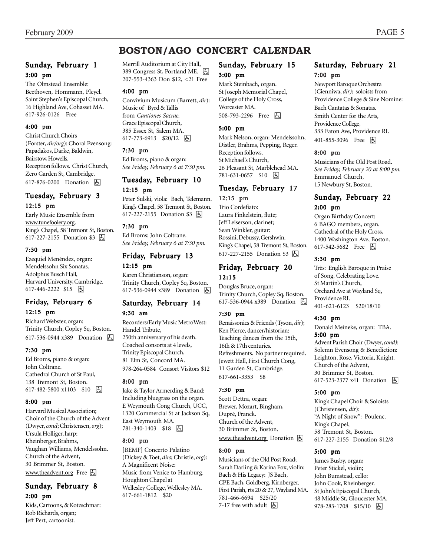## **BOSTON/AGO CONCERT CALENDAR**

#### Sunday, February 1 3:00 pm

The Olmstead Ensemble: Beethoven, Hommann, Pleyel. Saint Stephen's Episcopal Church, 16 Highland Ave, Cohasset MA. 617-926-0126 Free

#### 4:00 pm

Christ Church Choirs (Forster, *dir/org*): Choral Evensong: Papadakos, Darke, Baldwin, Bairstow, Howells. Reception follows. Christ Church, Zero Garden St, Cambridge. 617-876-0200 Donation **b** 

## Tuesday, February 3

#### 12:15 pm

Early Music Ensemble from www.tunefoolery.org. King's Chapel, 58 Tremont St, Boston. 617-227-2155 Donation \$3 因

#### 7:30 pm

Ezequiel Menéndez, organ: Mendelssohn Six Sonatas. Adolphus Busch Hall, Harvard University, Cambridge. 617-446-2222 \$15 | 6

## Friday, February 6

#### 12:15 pm

Richard Webster, organ: Trinity Church, Copley Sq, Boston. 617-536-0944 x389 Donation **b** 

#### 7:30 pm

Ed Broms, piano & organ: John Coltrane. Cathedral Church of St Paul, 138 Tremont St, Boston. 617-482-5800 x1103 \$10 因

#### 8:00 pm

Harvard Musical Association; Choir of the Church of the Advent (Dwyer, *cond*; Christensen, *org*); Ursula Holliger, harp: Rheinberger, Brahms, Vaughan Williams, Mendelssohn. Church of the Advent, 30 Brimmer St, Boston. www.theadvent.org Free  $\Box$ 

## Sunday, February 8

2:00 pm Kids, Cartoons, & Kotzschmar:

Rob Richards, organ; Jeff Pert, cartoonist.

Merrill Auditorium at City Hall, 389 Congress St, Portland ME.  $\Box$ 207-553-4363 Don \$12, <21 Free

#### 4:00 pm

Convivium Musicum (Barrett, *dir*): Music of Byrd & Tallis from *Cantiones Sacrae.* Grace Episcopal Church, 385 Essex St, Salem MA. 617-773-6913 \$20/12 因

#### 7:30 pm

Ed Broms, piano & organ: *See Friday, February 6 at 7:30 pm.*

#### Tuesday, February 10 12:15 pm

Peter Sulski, viola: Bach, Telemann. King's Chapel, 58 Tremont St, Boston. 617-227-2155 Donation \$3 **6** 

#### 7:30 pm

Ed Broms: John Coltrane. *See Friday, February 6 at 7:30 pm.*

#### Friday, February 13 12:15 pm

Karen Christianson, organ: Trinity Church, Copley Sq, Boston. 617-536-0944 x389 Donation h

#### Saturday, February 14 9:30 am

Recorders/Early Music MetroWest: Handel Tribute, 250th anniversary of his death. Coached consorts at 4 levels, Trinity Episcopal Church, 81 Elm St, Concord MA. 978-264-0584 Consort Visitors \$12

#### 8:00 pm

Jake & Taylor Armerding & Band: Including bluegrass on the organ. E Weymouth Cong Church, UCC, 1320 Commercial St at Jackson Sq, East Weymouth MA. 781-340-1403 \$18 6

#### 8:00 pm

[BEMF] Concerto Palatino (Dickey & Toet, *dirs*; Christie, *org*): A Magnificent Noise: Music from Venice to Hamburg. Houghton Chapel at Wellesley College, Wellesley MA. 617-661-1812 \$20

## Sunday, February 15

#### 3:00 pm

Mark Steinbach, organ. St Joseph Memorial Chapel, College of the Holy Cross, Worcester MA. 508-793-2296 Free **A** 

#### 5:00 pm

Mark Nelson, organ: Mendelssohn, Distler, Brahms, Pepping, Reger. Reception follows. St Michael's Church, 26 Pleasant St, Marblehead MA. 781-631-0657 \$10 因

#### Tuesday, February 17 12:15 pm

Trio Cordefiato: Laura Finkelstein, flute; Jeff Leiserson, clarinet; Sean Winkler, guitar: Rossini, Debussy, Gershwin. King's Chapel, 58 Tremont St, Boston. 617-227-2155 Donation \$3 **b** 

#### Friday, February 20 12:15

Douglas Bruce, organ: Trinity Church, Copley Sq, Boston. 617-536-0944 x389 Donation h

#### 7:30 pm

Renaissonics & Friends (Tyson, *dir*); Ken Pierce, dancer/historian: Teaching dances from the 15th, 16th & 17th centuries. Refreshments. No partner required. Jewett Hall, First Church Cong, 11 Garden St, Cambridge. 617-661-3353 \$8

#### 7:30 pm

Scott Dettra, organ: Brewer, Mozart, Bingham, Dupré, Franck. Church of the Advent, 30 Brimmer St, Boston. www.theadvent.org Donation  $\bigcirc$ 

#### 8:00 pm

Musicians of the Old Post Road; Sarah Darling & Karina Fox, violin: Bach & His Legacy: JS Bach, CPE Bach, Goldberg, Kirnberger. First Parish, rts 20 & 27, Wayland MA. 781-466-6694 \$25/20 7-17 free with adult  $\Box$ 

#### Saturday, February 21 7:00 pm

Newport Baroque Orchestra (Cienniwa, *dir)*; soloists from Providence College & Sine Nomine:

Bach Cantatas & Sonatas. Smith Center for the Arts, Providence College, 333 Eaton Ave, Providence RI. 401-855-3096 Free 因

#### 8:00 pm

Musicians of the Old Post Road. *See Friday, February 20 at 8:00 pm.* Emmanuel Church, 15 Newbury St, Boston.

#### Sunday, February 22 2:00 pm

Organ Birthday Concert: 6 BAGO members, organ. Cathedral of the Holy Cross, 1400 Washington Ave, Boston. 617-542-5682 Free **b** 

#### 3:30 pm

Très: English Baroque in Praise of Song, Celebrating Love. St Martin's Church, Orchard Ave at Wayland Sq, Providence RI. 401-621-6123 \$20/18/10

#### 4:30 pm

Donald Meineke, organ: TBA. 5:00 pm

Advent Parish Choir (Dwyer, *cond)*: Solemn Evensong & Benediction: Leighton, Rose, Victoria, Knight. Church of the Advent, 30 Brimmer St, Boston. 617-523-2377 x41 Donation **b** 

#### 5:00 pm

King's Chapel Choir & Soloists (Christensen, *dir*): "A Night of Snow": Poulenc. King's Chapel, 58 Tremont St, Boston. 617-227-2155 Donation \$12/8

#### 5:00 pm

James Busby, organ; Peter Stickel, violin; John Bumstead, cello: John Cook, Rheinberger. St John's Episcopal Church, 48 Middle St, Gloucester MA. 978-283-1708 \$15/10 | 5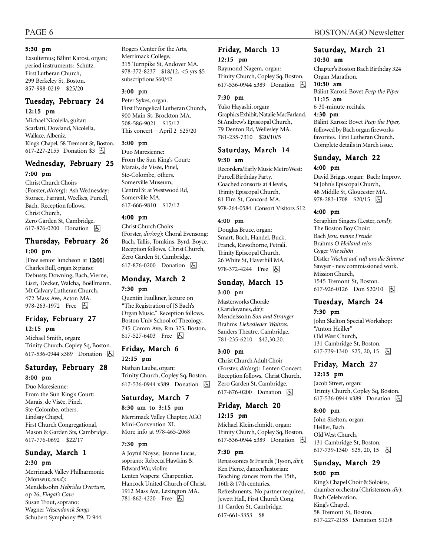#### 5:30 pm

Exsultemus; Bálint Karosi, organ; period instruments: Schütz. First Lutheran Church, 299 Berkeley St, Boston. 857-998-0219 \$25/20

#### Tuesday, February 24 12:15 pm

Michael Nicolella, guitar: Scarlatti, Dowland, Nicolella, Wallace, Albeniz. King's Chapel, 58 Tremont St, Boston. 617-227-2155 Donation \$3 因

#### Wednesday, February 25

#### 7:00 pm

Christ Church Choirs (Forster, *dir/org*): Ash Wednesday: Storace, Farrant, Weelkes, Purcell, Bach. Reception follows. Christ Church, Zero Garden St, Cambridge. 617-876-0200 Donation  $\boxed{6}$ 

#### Thursday, February 26 1:00 pm

[Free senior luncheon at 12:00] Charles Bull, organ & piano: Debussy, Downing, Bach, Vierne, Liszt, Decker, Walcha, Boëllmann. Mt Calvary Lutheran Church, 472 Mass Ave, Acton MA. 978-263-1972 Free 因

#### Friday, February 27 12:15 pm

Michael Smith, organ: Trinity Church, Copley Sq, Boston. 617-536-0944 x389 Donation 因

#### Saturday, February 28 8:00 pm

Duo Maresienne: From the Sun King's Court: Marais, de Visée, Pinel, Ste-Colombe, others. Lindsay Chapel, First Church Congregational, Mason & Garden Sts, Cambridge. 617-776-0692 \$22/17

## Sunday, March 1

#### 2:30 pm

Merrimack Valley Philharmonic (Monseur, *cond*): Mendelssohn *Hebrides Overture,* op 26, *Fingal's Cave* Susan Trout, soprano: Wagner *Wesendonck Songs* Schubert Symphony #9, D 944.

Rogers Center for the Arts, Merrimack College, 315 Turnpike St, Andover MA. 978-372-8237 \$18/12, <5 yrs \$5 subscriptions \$60/42

#### 3:00 pm

Peter Sykes, organ. First Evangelical Lutheran Church, 900 Main St, Brockton MA. 508-586-9021 \$15/12 This concert + April 2 \$25/20

#### 3:00 pm

Duo Maresienne: From the Sun King's Court: Marais, de Visée, Pinel, Ste-Colombe, others. Somerville Museum, Central St at Westwood Rd, Somerville MA. 617-666-9810 \$17/12

#### 4:00 pm

Christ Church Choirs (Forster, *dir/org*): Choral Evensong: Bach, Tallis, Tomkins, Byrd, Boyce. Reception follows. Christ Church, Zero Garden St, Cambridge. 617-876-0200 Donation **A** 

#### Monday, March 2 7:30 pm

Quentin Faulkner, lecture on "The Registration of JS Bach's Organ Music." Reception follows. Boston Univ School of Theology, 745 Comm Ave, Rm 325, Boston. 617-527-6403 Free 因

#### Friday, March 6

12:15 pm Nathan Laube, organ:

Trinity Church, Copley Sq, Boston. 617-536-0944 x389 Donation **b** 

#### Saturday, March 7

#### 8:30 am to 3:15 pm

Merrimack Valley Chapter, AGO Mini-Convention XI. More info at 978-465-2068

#### 7:30 pm

A Joyful Noyse; Jeanne Lucas, soprano; Rebecca Hawkins & Edward Wu, violin: Lenten Vespers: Charpentier. Hancock United Church of Christ, 1912 Mass Ave, Lexington MA. 781-862-4220 Free **A** 

#### Friday, March 13 12:15 pm

Raymond Nagem, organ: Trinity Church, Copley Sq, Boston. 617-536-0944 x389 Donation **b** 

#### 7:30 pm

Yuko Hayashi, organ; Graphics Exhibit, Natalie MacFarland. St Andrew's Episcopal Church, 79 Denton Rd, Wellesley MA. 781-235-7310 \$20/10/5

#### Saturday, March 14 9:30 am

Recorders/Early Music MetroWest: Purcell Birthday Party. Coached consorts at 4 levels, Trinity Episcopal Church, 81 Elm St, Concord MA. 978-264-0584 Consort Visitors \$12

#### 4:00 pm

Douglas Bruce, organ: Smart, Bach, Handel, Buck, Franck, Rawsthorne, Petrali. Trinity Episcopal Church, 26 White St, Haverhill MA. 978-372-4244 Free 囚

#### Sunday, March 15 3:00 pm

Masterworks Chorale (Karidoyanes, *dir*): Mendelssohn *Son and Stranger* Brahms *Liebeslieder Waltzes.* Sanders Theatre, Cambridge. 781-235-6210 \$42,30,20.

#### 3:00 pm

Christ Church Adult Choir (Forster, *dir/org*): Lenten Concert. Reception follows. Christ Church, Zero Garden St, Cambridge. 617-876-0200 Donation **b** 

#### Friday, March 20 12:15 pm

Michael Kleinschmidt, organ: Trinity Church, Copley Sq, Boston. 617-536-0944 x389 Donation h

#### 7:30 pm

Renaissonics & Friends (Tyson, *dir*); Ken Pierce, dancer/historian: Teaching dances from the 15th, 16th & 17th centuries. Refreshments. No partner required. Jewett Hall, First Church Cong, 11 Garden St, Cambridge. 617-661-3353 \$8

#### Saturday, March 21 10:30 am

Chapter's Boston Bach Birthday 324 Organ Marathon.

#### 10:30 am

Bálint Karosi: Bovet *Peep the Piper* 11:15 am

6 30-minute recitals.

#### 4:30 pm

Bálint Karosi: Bovet *Peep the Piper,* followed by Bach organ fireworks favorites. First Lutheran Church. Complete details in March issue.

## Sunday, March 22

#### 4:00 pm

David Briggs, organ: Bach; Improv. St John's Episcopal Church, 48 Middle St, Gloucester MA. 978-283-1708 \$20/15 | 4

#### 4:00 pm

Seraphim Singers (Lester, *cond*); The Boston Boy Choir: Bach *Jesu, meine Freude* Brahms *O Heiland reiss* Gyger *Wie schön* Distler *Wachet auf, ruft uns die Stimme* Sawyer - new commissioned work. Mission Church, 1545 Tremont St, Boston. 617-926-0126 Don \$20/10 | A

#### Tuesday, March 24 7:30 pm

John Skelton Special Workshop: "Anton Heiller" Old West Church, 131 Cambridge St, Boston. 617-739-1340  $$25, 20, 15$   $\Box$ 

## Friday, March 27

#### 12:15 pm

Jacob Street, organ: Trinity Church, Copley Sq, Boston. 617-536-0944 x389 Donation **囚** 

#### 8:00 pm

John Skelton, organ: Heiller, Bach. Old West Church, 131 Cambridge St, Boston.  $617-739-1340$  \$25, 20, 15  $\boxed{6}$ 

#### Sunday, March 29

#### 5:00 pm

King's Chapel Choir & Soloists, chamber orchestra (Christensen, *dir*): Bach Celebration. King's Chapel, 58 Tremont St, Boston. 617-227-2155 Donation \$12/8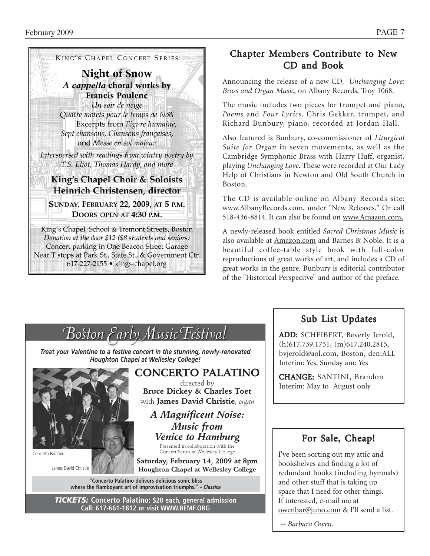

Donation at the door \$12 (\$8 students and seniors) Concert parking in One Beacon Street Garage Near T stops at Park St., State St., & Government Ctr. 617-227-2155 • kings-chapel.org

## Chapter Members Contribute to New CD and Book

Announcing the release of a new CD, *Unchanging Love: Brass and Organ Music*, on Albany Records, Troy 1068.

The music includes two pieces for trumpet and piano, *Poems* and *Four Lyrics*. Chris Gekker, trumpet, and Richard Bunbury, piano, recorded at Jordan Hall.

Also featured is Bunbury, co-commissioner of *Liturgical Suite for Organ* in seven movements, as well as the Cambridge Symphonic Brass with Harry Huff, organist, playing *Unchanging Love*. These were recorded at Our Lady Help of Christians in Newton and Old South Church in Boston.

The CD is available online on Albany Records site: www.AlbanyRecords.com, under "New Releases." Or call 518-436-8814. It can also be found on www.Amazon.com,

A newly-released book entitled *Sacred Christmas Music* is also available at Amazon.com and Barnes & Noble. It is a beautiful coffee-table style book with full-color reproductions of great works of art, and includes a CD of great works in the genre. Bunbury is editorial contributor of the "Historical Perspecitve" and author of the preface.



## Sub List Updates

ADD: SCHEIBERT, Beverly Jerold, (h)617.739.1751, (m)617.240.2815, bvjerold@aol.com, Boston, den:ALL Interim: Yes, Sunday am: Yes

CHANGE: SANTINI, Brandon Interim: May to August only

## For Sale, Cheap!

I've been sorting out my attic and bookshelves and finding a lot of redundant books (including hymnals) and other stuff that is taking up space that I need for other things. If interested, e-mail me at owenbar@juno.com & I'll send a list.

 *-- Barbara Owen*.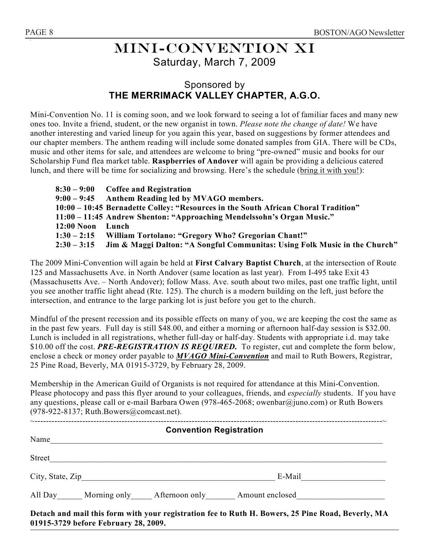## Mini-convention XI Saturday, March 7, 2009

## Sponsored by **THE MERRIMACK VALLEY CHAPTER, A.G.O.**

Mini-Convention No. 11 is coming soon, and we look forward to seeing a lot of familiar faces and many new ones too. Invite a friend, student, or the new organist in town. *Please note the change of date!* We have another interesting and varied lineup for you again this year, based on suggestions by former attendees and our chapter members. The anthem reading will include some donated samples from GIA. There will be CDs, music and other items for sale, and attendees are welcome to bring "pre-owned" music and books for our Scholarship Fund flea market table. **Raspberries of Andover** will again be providing a delicious catered lunch, and there will be time for socializing and browsing. Here's the schedule (bring it with you!):

|                  | $8:30 - 9:00$ Coffee and Registration                                              |
|------------------|------------------------------------------------------------------------------------|
|                  | 9:00 – 9:45 Anthem Reading led by MVAGO members.                                   |
|                  | 10:00 – 10:45 Bernadette Colley: "Resources in the South African Choral Tradition" |
|                  | 11:00 - 11:45 Andrew Shenton: "Approaching Mendelssohn's Organ Music."             |
| 12:00 Noon Lunch |                                                                                    |
|                  | 1:30 - 2:15 William Tortolano: "Gregory Who? Gregorian Chant!"                     |
| $2:30 - 3:15$    | Jim & Maggi Dalton: "A Songful Communitas: Using Folk Music in the Church"         |

The 2009 Mini-Convention will again be held at **First Calvary Baptist Church**, at the intersection of Route 125 and Massachusetts Ave. in North Andover (same location as last year). From I-495 take Exit 43 (Massachusetts Ave. – North Andover); follow Mass. Ave. south about two miles, past one traffic light, until you see another traffic light ahead (Rte. 125). The church is a modern building on the left, just before the intersection, and entrance to the large parking lot is just before you get to the church.

Mindful of the present recession and its possible effects on many of you, we are keeping the cost the same as in the past few years. Full day is still \$48.00, and either a morning or afternoon half-day session is \$32.00. Lunch is included in all registrations, whether full-day or half-day. Students with appropriate i.d. may take \$10.00 off the cost. *PRE-REGISTRATION IS REQUIRED*. To register, cut and complete the form below, enclose a check or money order payable to *MVAGO Mini-Convention* and mail to Ruth Bowers, Registrar, 25 Pine Road, Beverly, MA 01915-3729, by February 28, 2009.

Membership in the American Guild of Organists is not required for attendance at this Mini-Convention. Please photocopy and pass this flyer around to your colleagues, friends, and *especially* students. If you have any questions, please call or e-mail Barbara Owen (978-465-2068; owenbar@juno.com) or Ruth Bowers (978-922-8137; Ruth.Bowers@comcast.net).

| <b>Convention Registration</b> |  |  |                                                                                                   |  |  |
|--------------------------------|--|--|---------------------------------------------------------------------------------------------------|--|--|
| Name                           |  |  |                                                                                                   |  |  |
|                                |  |  |                                                                                                   |  |  |
|                                |  |  |                                                                                                   |  |  |
|                                |  |  | All Day Morning only Afternoon only Amount enclosed                                               |  |  |
|                                |  |  | Detach and mail this form with your registration fee to Ruth H. Bowers, 25 Pine Road, Beverly, MA |  |  |

**01915-3729 before February 28, 2009.**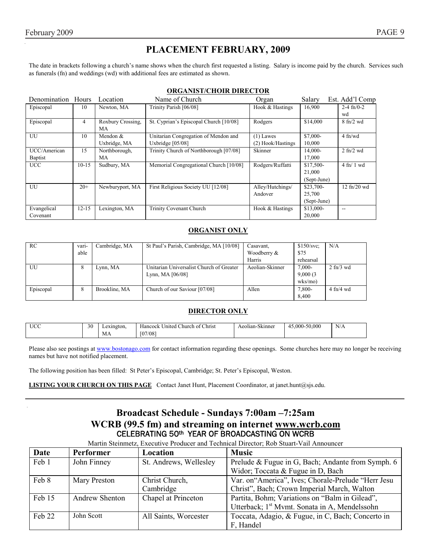## **PLACEMENT FEBRUARY, 2009**

The date in brackets following a church's name shows when the church first requested a listing. Salary is income paid by the church. Services such as funerals (fn) and weddings (wd) with additional fees are estimated as shown.

#### **ORGANIST/CHOIR DIRECTOR**

| Denomination Hours |           | Location          | Name of Church                         | Organ             | Salary      | Est. Add'l Comp               |
|--------------------|-----------|-------------------|----------------------------------------|-------------------|-------------|-------------------------------|
| Episcopal          | 10        | Newton, MA        | Trinity Parish [06/08]                 | Hook & Hastings   | 16,900      | $2-4$ fn/0-2                  |
|                    |           |                   |                                        |                   |             | wd                            |
| Episcopal          | 4         | Roxbury Crossing, | St. Cyprian's Episcopal Church [10/08] | Rodgers           | \$14,000    | $8 \text{ ft}$ /2 wd          |
|                    |           | MA                |                                        |                   |             |                               |
| UU                 | 10        | Mendon &          | Unitarian Congregation of Mendon and   | $(1)$ Lawes       | $$7,000-$   | $4$ fn/wd                     |
|                    |           | Uxbridge, MA      | Uxbridge $[05/08]$                     | (2) Hook/Hastings | 10,000      |                               |
| UCC/American       | 15        | Northborough,     | Trinity Church of Northborough [07/08] | Skinner           | 14,000-     | $2$ fn/ $2$ wd                |
| <b>Baptist</b>     |           | MA                |                                        |                   | 17,000      |                               |
| <b>UCC</b>         | $10-15$   | Sudbury, MA       | Memorial Congregational Church [10/08] | Rodgers/Ruffatti  | $$17,500-$  | $4 \text{ ft} / 1 \text{ wd}$ |
|                    |           |                   |                                        |                   | 21,000      |                               |
|                    |           |                   |                                        |                   | (Sept-June) |                               |
| UU                 | $20+$     | Newburyport, MA   | First Religious Society UU [12/08]     | Alley/Hutchings/  | \$23,700-   | $12$ fn/ $20$ wd              |
|                    |           |                   |                                        | Andover           | 25,700      |                               |
|                    |           |                   |                                        |                   | (Sept-June) |                               |
| Evangelical        | $12 - 15$ | Lexington, MA     | <b>Trinity Covenant Church</b>         | Hook & Hastings   | \$13,000-   | $- -$                         |
| Covenant           |           |                   |                                        |                   | 20,000      |                               |

#### **ORGANIST ONLY**

| RC        | vari- | Cambridge, MA | St Paul's Parish, Cambridge, MA [10/08]  | Casavant,       | \$150/svc  | N/A                             |
|-----------|-------|---------------|------------------------------------------|-----------------|------------|---------------------------------|
|           | able  |               |                                          | Woodberry &     | \$75       |                                 |
|           |       |               |                                          | Harris          | rehearsal  |                                 |
| UU        | ŏ     | Lynn, MA      | Unitarian Universalist Church of Greater | Aeolian-Skinner | $7,000-$   | $2 \text{ ft}$ / $3 \text{ wd}$ |
|           |       |               | Lynn, MA $[06/08]$                       |                 | 9,000(3)   |                                 |
|           |       |               |                                          |                 | $w$ ks/mo) |                                 |
| Episcopal | ŏ     | Brookline, MA | Church of our Saviour [07/08]            | Allen           | 7,800-     | $4$ fn/4 wd                     |
|           |       |               |                                          |                 | 8.400      |                                 |

#### **DIRECTOR ONLY**

| . I I C C<br><u>uu</u> | 30 | Lexington. | $\sim$<br>Christ<br>United<br>Church of<br>Hancock | $\sim$<br>Aeolian-Skinner | 45.000-50.000<br>4 | N/A |
|------------------------|----|------------|----------------------------------------------------|---------------------------|--------------------|-----|
|                        |    | IVI A      | [07/08]                                            |                           |                    |     |

Please also see postings at www.bostonago.com for contact information regarding these openings. Some churches here may no longer be receiving names but have not notified placement.

The following position has been filled: St Peter's Episcopal, Cambridge; St. Peter's Episcopal, Weston.

**LISTING YOUR CHURCH ON THIS PAGE** Contact Janet Hunt, Placement Coordinator, at janet.hunt@sjs.edu.

### **Broadcast Schedule - Sundays 7:00am –7:25am WCRB (99.5 fm) and streaming on internet www.wcrb.com** CELEBRATING 50th YEAR OF BROADCASTING ON WCRB

Martin Steinmetz, Executive Producer and Technical Director; Rob Stuart-Vail Announcer

| Date   | <b>Performer</b>      | Location               | <b>Music</b>                                              |
|--------|-----------------------|------------------------|-----------------------------------------------------------|
| Feb 1  | John Finney           | St. Andrews, Wellesley | Prelude & Fugue in G, Bach; Andante from Symph. 6         |
|        |                       |                        | Widor; Toccata & Fugue in D, Bach                         |
| Feb 8  | Mary Preston          | Christ Church,         | Var. on "America", Ives; Chorale-Prelude "Herr Jesu       |
|        |                       | Cambridge              | Christ", Bach; Crown Imperial March, Walton               |
| Feb 15 | <b>Andrew Shenton</b> | Chapel at Princeton    | Partita, Bohm; Variations on "Balm in Gilead",            |
|        |                       |                        | Utterback; 1 <sup>st</sup> Mymt. Sonata in A, Mendelssohn |
| Feb 22 | John Scott            | All Saints, Worcester  | Toccata, Adagio, & Fugue, in C, Bach; Concerto in         |
|        |                       |                        | F, Handel                                                 |